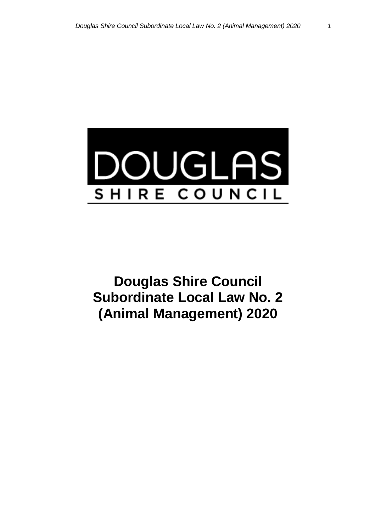

**Douglas Shire Council Subordinate Local Law No. 2 (Animal Management) 2020**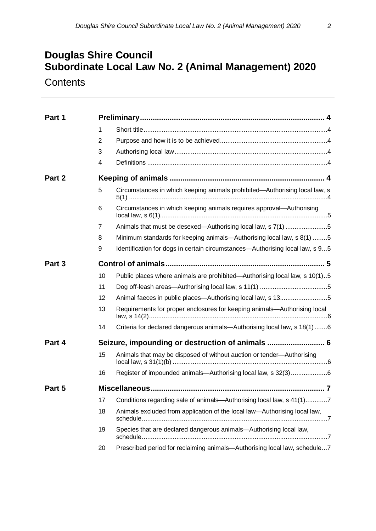# **Douglas Shire Council Subordinate Local Law No. 2 (Animal Management) 2020**

**Contents** 

| Part 1 |                |                                                                              |  |  |  |  |
|--------|----------------|------------------------------------------------------------------------------|--|--|--|--|
|        | 1              |                                                                              |  |  |  |  |
|        | $\overline{2}$ |                                                                              |  |  |  |  |
|        | 3              |                                                                              |  |  |  |  |
|        | 4              |                                                                              |  |  |  |  |
| Part 2 |                |                                                                              |  |  |  |  |
|        | 5              | Circumstances in which keeping animals prohibited-Authorising local law, s   |  |  |  |  |
|        | 6              | Circumstances in which keeping animals requires approval—Authorising         |  |  |  |  |
|        | 7              | Animals that must be desexed—Authorising local law, s 7(1) 5                 |  |  |  |  |
|        | 8              | Minimum standards for keeping animals—Authorising local law, s 8(1) 5        |  |  |  |  |
|        | 9              | Identification for dogs in certain circumstances-Authorising local law, s 95 |  |  |  |  |
| Part 3 |                |                                                                              |  |  |  |  |
|        | 10             | Public places where animals are prohibited—Authorising local law, s 10(1)5   |  |  |  |  |
|        | 11             |                                                                              |  |  |  |  |
|        | 12             | Animal faeces in public places—Authorising local law, s 135                  |  |  |  |  |
|        | 13             | Requirements for proper enclosures for keeping animals-Authorising local     |  |  |  |  |
|        | 14             | Criteria for declared dangerous animals-Authorising local law, s 18(1)6      |  |  |  |  |
| Part 4 |                | Seizure, impounding or destruction of animals  6                             |  |  |  |  |
|        | 15             | Animals that may be disposed of without auction or tender-Authorising        |  |  |  |  |
|        | 16             | Register of impounded animals—Authorising local law, s 32(3)6                |  |  |  |  |
| Part 5 |                |                                                                              |  |  |  |  |
|        | 17             | Conditions regarding sale of animals—Authorising local law, s 41(1)7         |  |  |  |  |
|        | 18             | Animals excluded from application of the local law—Authorising local law,    |  |  |  |  |
|        | 19             | Species that are declared dangerous animals-Authorising local law,           |  |  |  |  |
|        | 20             | Prescribed period for reclaiming animals-Authorising local law, schedule7    |  |  |  |  |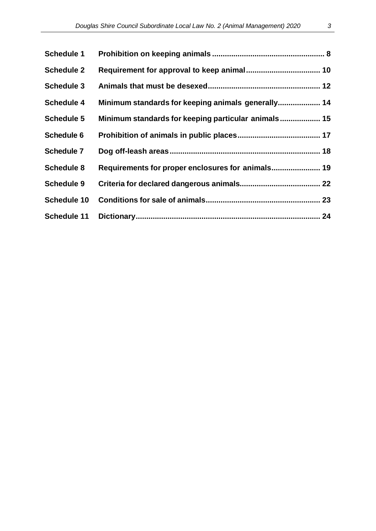| <b>Schedule 1</b>  |                                                     |  |
|--------------------|-----------------------------------------------------|--|
| <b>Schedule 2</b>  |                                                     |  |
| <b>Schedule 3</b>  |                                                     |  |
| <b>Schedule 4</b>  | Minimum standards for keeping animals generally 14  |  |
| <b>Schedule 5</b>  | Minimum standards for keeping particular animals 15 |  |
| <b>Schedule 6</b>  |                                                     |  |
| <b>Schedule 7</b>  |                                                     |  |
| <b>Schedule 8</b>  | Requirements for proper enclosures for animals 19   |  |
| <b>Schedule 9</b>  |                                                     |  |
| <b>Schedule 10</b> |                                                     |  |
| <b>Schedule 11</b> |                                                     |  |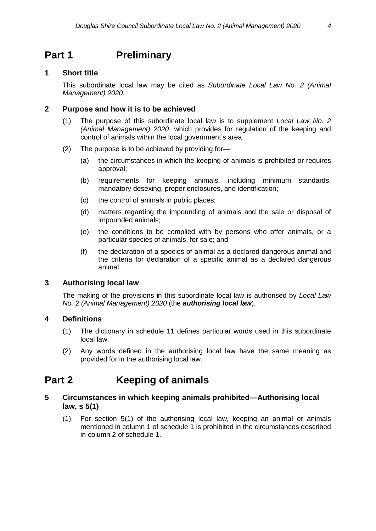### <span id="page-3-0"></span>**Part 1 Preliminary**

#### <span id="page-3-1"></span>**1 Short title**

This subordinate local law may be cited as *Subordinate Local Law No. 2 (Animal Management) 2020*.

#### <span id="page-3-2"></span>**2 Purpose and how it is to be achieved**

- (1) The purpose of this subordinate local law is to supplement *Local Law No. 2 (Animal Management) 2020*, which provides for regulation of the keeping and control of animals within the local government's area.
- (2) The purpose is to be achieved by providing for—
	- (a) the circumstances in which the keeping of animals is prohibited or requires approval;
	- (b) requirements for keeping animals, including minimum standards, mandatory desexing, proper enclosures, and identification;
	- (c) the control of animals in public places;
	- (d) matters regarding the impounding of animals and the sale or disposal of impounded animals;
	- (e) the conditions to be complied with by persons who offer animals, or a particular species of animals, for sale; and
	- (f) the declaration of a species of animal as a declared dangerous animal and the criteria for declaration of a specific animal as a declared dangerous animal.

### <span id="page-3-3"></span>**3 Authorising local law**

The making of the provisions in this subordinate local law is authorised by *Local Law No. 2 (Animal Management) 2020* (the *authorising local law*).

### <span id="page-3-4"></span>**4 Definitions**

- (1) The dictionary in schedule 11 defines particular words used in this subordinate local law.
- (2) Any words defined in the authorising local law have the same meaning as provided for in the authorising local law.

### <span id="page-3-5"></span>**Part 2 Keeping of animals**

#### <span id="page-3-6"></span>**5 Circumstances in which keeping animals prohibited—Authorising local law, s 5(1)**

(1) For section 5(1) of the authorising local law, keeping an animal or animals mentioned in column 1 of schedule 1 is prohibited in the circumstances described in column 2 of schedule 1.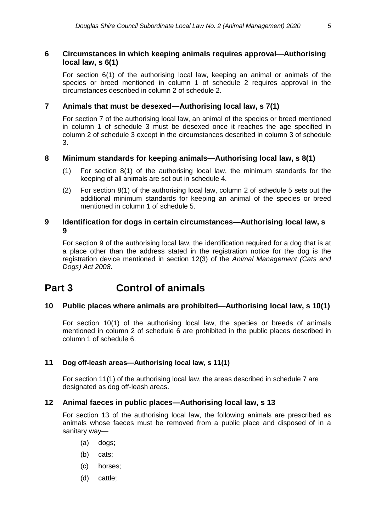### <span id="page-4-0"></span>**6 Circumstances in which keeping animals requires approval—Authorising local law, s 6(1)**

For section 6(1) of the authorising local law, keeping an animal or animals of the species or breed mentioned in column 1 of schedule 2 requires approval in the circumstances described in column 2 of schedule 2.

### <span id="page-4-1"></span>**7 Animals that must be desexed—Authorising local law, s 7(1)**

For section 7 of the authorising local law, an animal of the species or breed mentioned in column 1 of schedule 3 must be desexed once it reaches the age specified in column 2 of schedule 3 except in the circumstances described in column 3 of schedule 3.

### <span id="page-4-2"></span>**8 Minimum standards for keeping animals—Authorising local law, s 8(1)**

- (1) For section 8(1) of the authorising local law, the minimum standards for the keeping of all animals are set out in schedule 4.
- (2) For section 8(1) of the authorising local law, column 2 of schedule 5 sets out the additional minimum standards for keeping an animal of the species or breed mentioned in column 1 of schedule 5.

### <span id="page-4-3"></span>**9 Identification for dogs in certain circumstances—Authorising local law, s 9**

For section 9 of the authorising local law, the identification required for a dog that is at a place other than the address stated in the registration notice for the dog is the registration device mentioned in section 12(3) of the *Animal Management (Cats and Dogs) Act 2008*.

### <span id="page-4-4"></span>**Part 3 Control of animals**

### <span id="page-4-5"></span>**10 Public places where animals are prohibited—Authorising local law, s 10(1)**

For section 10(1) of the authorising local law, the species or breeds of animals mentioned in column 2 of schedule 6 are prohibited in the public places described in column 1 of schedule 6.

### <span id="page-4-6"></span>**11 Dog off-leash areas—Authorising local law, s 11(1)**

For section 11(1) of the authorising local law, the areas described in schedule 7 are designated as dog off-leash areas.

### <span id="page-4-7"></span>**12 Animal faeces in public places—Authorising local law, s 13**

For section 13 of the authorising local law, the following animals are prescribed as animals whose faeces must be removed from a public place and disposed of in a sanitary way—

- (a) dogs;
- (b) cats;
- (c) horses;
- (d) cattle;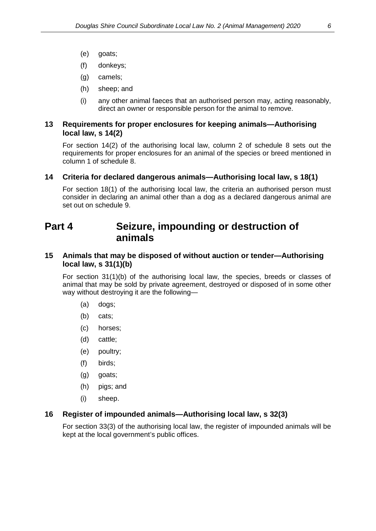- (e) goats;
- (f) donkeys;
- (g) camels;
- (h) sheep; and
- (i) any other animal faeces that an authorised person may, acting reasonably, direct an owner or responsible person for the animal to remove.

#### <span id="page-5-0"></span>**13 Requirements for proper enclosures for keeping animals—Authorising local law, s 14(2)**

For section 14(2) of the authorising local law, column 2 of schedule 8 sets out the requirements for proper enclosures for an animal of the species or breed mentioned in column 1 of schedule 8.

#### <span id="page-5-1"></span>**14 Criteria for declared dangerous animals—Authorising local law, s 18(1)**

For section 18(1) of the authorising local law, the criteria an authorised person must consider in declaring an animal other than a dog as a declared dangerous animal are set out on schedule 9.

### <span id="page-5-2"></span>**Part 4 Seizure, impounding or destruction of animals**

#### <span id="page-5-3"></span>**15 Animals that may be disposed of without auction or tender—Authorising local law, s 31(1)(b)**

For section 31(1)(b) of the authorising local law, the species, breeds or classes of animal that may be sold by private agreement, destroyed or disposed of in some other way without destroying it are the following—

- (a) dogs;
- (b) cats;
- (c) horses;
- (d) cattle;
- (e) poultry;
- (f) birds;
- (g) goats;
- (h) pigs; and
- (i) sheep.

#### <span id="page-5-4"></span>**16 Register of impounded animals—Authorising local law, s 32(3)**

For section 33(3) of the authorising local law, the register of impounded animals will be kept at the local government's public offices.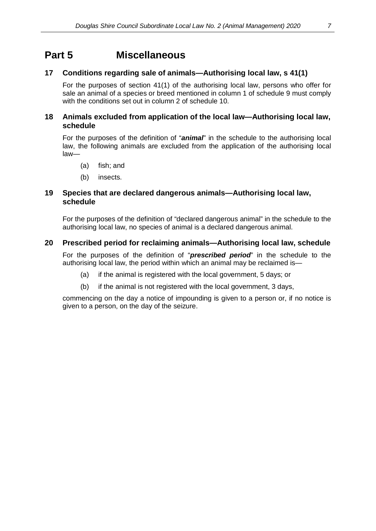### <span id="page-6-0"></span>**Part 5 Miscellaneous**

### <span id="page-6-1"></span>**17 Conditions regarding sale of animals—Authorising local law, s 41(1)**

For the purposes of section 41(1) of the authorising local law, persons who offer for sale an animal of a species or breed mentioned in column 1 of schedule 9 must comply with the conditions set out in column 2 of schedule 10.

### <span id="page-6-2"></span>**18 Animals excluded from application of the local law—Authorising local law, schedule**

For the purposes of the definition of "*animal*" in the schedule to the authorising local law, the following animals are excluded from the application of the authorising local law—

- (a) fish; and
- (b) insects.

#### <span id="page-6-3"></span>**19 Species that are declared dangerous animals—Authorising local law, schedule**

For the purposes of the definition of "declared dangerous animal" in the schedule to the authorising local law, no species of animal is a declared dangerous animal.

### <span id="page-6-4"></span>**20 Prescribed period for reclaiming animals—Authorising local law, schedule**

For the purposes of the definition of "*prescribed period*" in the schedule to the authorising local law, the period within which an animal may be reclaimed is—

- (a) if the animal is registered with the local government, 5 days; or
- (b) if the animal is not registered with the local government, 3 days,

commencing on the day a notice of impounding is given to a person or, if no notice is given to a person, on the day of the seizure.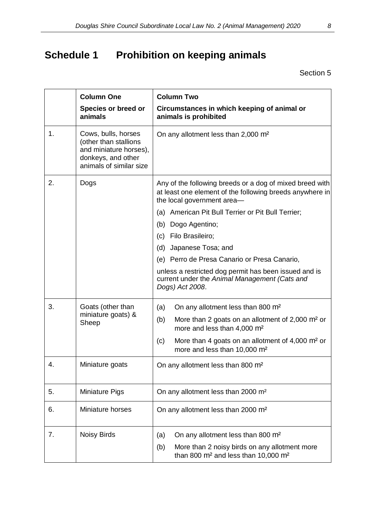# <span id="page-7-0"></span>**Schedule 1 Prohibition on keeping animals**

|    | <b>Column One</b><br>Species or breed or<br>animals                                                                     | <b>Column Two</b><br>Circumstances in which keeping of animal or<br>animals is prohibited                                                          |
|----|-------------------------------------------------------------------------------------------------------------------------|----------------------------------------------------------------------------------------------------------------------------------------------------|
| 1. | Cows, bulls, horses<br>(other than stallions<br>and miniature horses),<br>donkeys, and other<br>animals of similar size | On any allotment less than 2,000 m <sup>2</sup>                                                                                                    |
| 2. | Dogs                                                                                                                    | Any of the following breeds or a dog of mixed breed with<br>at least one element of the following breeds anywhere in<br>the local government area- |
|    |                                                                                                                         | American Pit Bull Terrier or Pit Bull Terrier;<br>(a)                                                                                              |
|    |                                                                                                                         | Dogo Agentino;<br>(b)                                                                                                                              |
|    |                                                                                                                         | Filo Brasileiro;<br>(c)                                                                                                                            |
|    |                                                                                                                         | (d)<br>Japanese Tosa; and                                                                                                                          |
|    |                                                                                                                         | (e) Perro de Presa Canario or Presa Canario,                                                                                                       |
|    |                                                                                                                         | unless a restricted dog permit has been issued and is<br>current under the Animal Management (Cats and<br>Dogs) Act 2008.                          |
| 3. | Goats (other than                                                                                                       | (a)<br>On any allotment less than 800 m <sup>2</sup>                                                                                               |
|    | miniature goats) &<br>Sheep                                                                                             | More than 2 goats on an allotment of 2,000 m <sup>2</sup> or<br>(b)<br>more and less than 4,000 m <sup>2</sup>                                     |
|    |                                                                                                                         | More than 4 goats on an allotment of $4,000$ m <sup>2</sup> or<br>(c)<br>more and less than 10,000 m <sup>2</sup>                                  |
| 4. | Miniature goats                                                                                                         | On any allotment less than 800 m <sup>2</sup>                                                                                                      |
| 5. | <b>Miniature Pigs</b>                                                                                                   | On any allotment less than 2000 m <sup>2</sup>                                                                                                     |
| 6. | Miniature horses                                                                                                        | On any allotment less than 2000 m <sup>2</sup>                                                                                                     |
| 7. | <b>Noisy Birds</b>                                                                                                      | On any allotment less than 800 m <sup>2</sup><br>(a)                                                                                               |
|    |                                                                                                                         | More than 2 noisy birds on any allotment more<br>(b)<br>than 800 m <sup>2</sup> and less than 10,000 m <sup>2</sup>                                |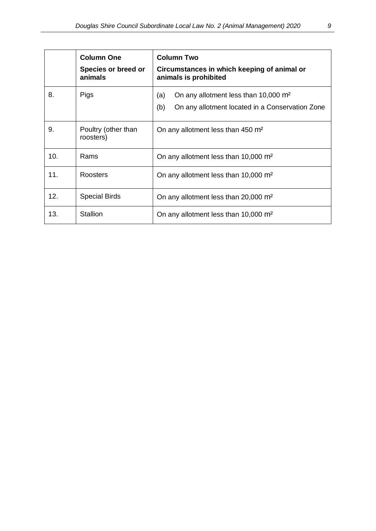|     | <b>Column One</b><br>Species or breed or<br>animals | <b>Column Two</b><br>Circumstances in which keeping of animal or<br>animals is prohibited                         |  |
|-----|-----------------------------------------------------|-------------------------------------------------------------------------------------------------------------------|--|
| 8.  | Pigs                                                | On any allotment less than 10,000 m <sup>2</sup><br>(a)<br>(b)<br>On any allotment located in a Conservation Zone |  |
| 9.  | Poultry (other than<br>roosters)                    | On any allotment less than 450 m <sup>2</sup>                                                                     |  |
| 10. | Rams                                                | On any allotment less than 10,000 m <sup>2</sup>                                                                  |  |
| 11. | Roosters                                            | On any allotment less than 10,000 m <sup>2</sup>                                                                  |  |
| 12. | <b>Special Birds</b>                                | On any allotment less than 20,000 m <sup>2</sup>                                                                  |  |
| 13. | <b>Stallion</b>                                     | On any allotment less than 10,000 m <sup>2</sup>                                                                  |  |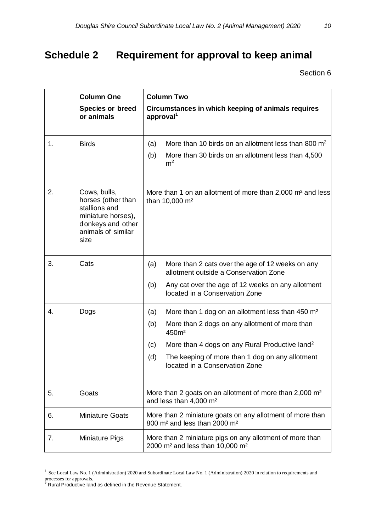# <span id="page-9-0"></span>**Schedule 2 Requirement for approval to keep animal**

|    | <b>Column One</b><br><b>Species or breed</b><br>or animals                                                                   | <b>Column Two</b><br>Circumstances in which keeping of animals requires<br>approval <sup>1</sup>                                                                                                                                                                                                                   |  |  |
|----|------------------------------------------------------------------------------------------------------------------------------|--------------------------------------------------------------------------------------------------------------------------------------------------------------------------------------------------------------------------------------------------------------------------------------------------------------------|--|--|
| 1. | <b>Birds</b>                                                                                                                 | More than 10 birds on an allotment less than 800 $m2$<br>(a)<br>More than 30 birds on an allotment less than 4,500<br>(b)<br>m <sup>2</sup>                                                                                                                                                                        |  |  |
| 2. | Cows, bulls,<br>horses (other than<br>stallions and<br>miniature horses),<br>donkeys and other<br>animals of similar<br>size | More than 1 on an allotment of more than 2,000 m <sup>2</sup> and less<br>than 10,000 m <sup>2</sup>                                                                                                                                                                                                               |  |  |
| 3. | Cats                                                                                                                         | More than 2 cats over the age of 12 weeks on any<br>(a)<br>allotment outside a Conservation Zone<br>(b)<br>Any cat over the age of 12 weeks on any allotment<br>located in a Conservation Zone                                                                                                                     |  |  |
| 4. | Dogs                                                                                                                         | More than 1 dog on an allotment less than 450 m <sup>2</sup><br>(a)<br>More than 2 dogs on any allotment of more than<br>(b)<br>450m <sup>2</sup><br>More than 4 dogs on any Rural Productive land <sup>2</sup><br>(c)<br>(d)<br>The keeping of more than 1 dog on any allotment<br>located in a Conservation Zone |  |  |
| 5. | Goats                                                                                                                        | More than 2 goats on an allotment of more than 2,000 m <sup>2</sup><br>and less than 4,000 m <sup>2</sup>                                                                                                                                                                                                          |  |  |
| 6. | <b>Miniature Goats</b>                                                                                                       | More than 2 miniature goats on any allotment of more than<br>800 m <sup>2</sup> and less than 2000 m <sup>2</sup>                                                                                                                                                                                                  |  |  |
| 7. | <b>Miniature Pigs</b>                                                                                                        | More than 2 miniature pigs on any allotment of more than<br>2000 m <sup>2</sup> and less than 10,000 m <sup>2</sup>                                                                                                                                                                                                |  |  |

<span id="page-9-1"></span><sup>&</sup>lt;sup>1</sup> See Local Law No. 1 (Administration) 2020 and Subordinate Local Law No. 1 (Administration) 2020 in relation to requirements and processes for approvals.

<span id="page-9-2"></span><sup>&</sup>lt;sup>2</sup> Rural Productive land as defined in the Revenue Statement.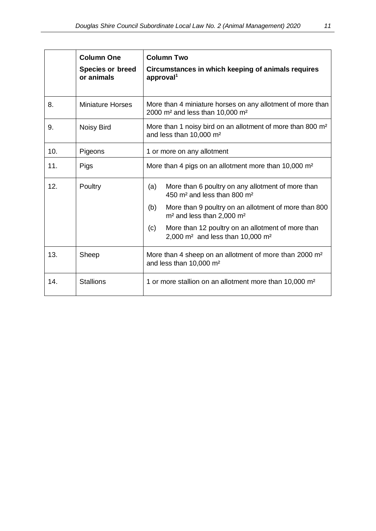|     | <b>Column One</b><br><b>Species or breed</b><br>or animals | <b>Column Two</b><br>Circumstances in which keeping of animals requires<br>approval <sup>1</sup>                      |  |  |
|-----|------------------------------------------------------------|-----------------------------------------------------------------------------------------------------------------------|--|--|
| 8.  | <b>Miniature Horses</b>                                    | More than 4 miniature horses on any allotment of more than<br>2000 m <sup>2</sup> and less than 10,000 m <sup>2</sup> |  |  |
| 9.  | <b>Noisy Bird</b>                                          | More than 1 noisy bird on an allotment of more than 800 m <sup>2</sup><br>and less than 10,000 m <sup>2</sup>         |  |  |
| 10. | Pigeons                                                    | 1 or more on any allotment                                                                                            |  |  |
| 11. | Pigs                                                       | More than 4 pigs on an allotment more than 10,000 m <sup>2</sup>                                                      |  |  |
| 12. | Poultry                                                    | More than 6 poultry on any allotment of more than<br>(a)<br>450 m <sup>2</sup> and less than 800 m <sup>2</sup>       |  |  |
|     |                                                            | (b)<br>More than 9 poultry on an allotment of more than 800<br>m <sup>2</sup> and less than 2,000 m <sup>2</sup>      |  |  |
|     |                                                            | More than 12 poultry on an allotment of more than<br>(c)<br>2,000 $m2$ and less than 10,000 $m2$                      |  |  |
| 13. | Sheep                                                      | More than 4 sheep on an allotment of more than 2000 m <sup>2</sup><br>and less than 10,000 m <sup>2</sup>             |  |  |
| 14. | <b>Stallions</b>                                           | 1 or more stallion on an allotment more than 10,000 m <sup>2</sup>                                                    |  |  |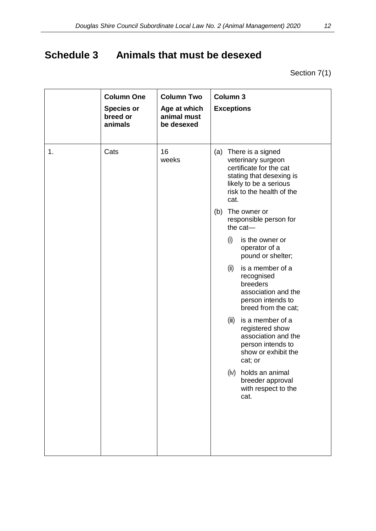# <span id="page-11-0"></span>**Schedule 3 Animals that must be desexed**

Section 7(1)

| 1. | <b>Column One</b><br><b>Species or</b><br>breed or<br>animals<br>Cats | <b>Column Two</b><br>Age at which<br>animal must<br>be desexed<br>16<br>weeks |     | Column 3<br><b>Exceptions</b><br>(a) There is a signed<br>veterinary surgeon                                                       |
|----|-----------------------------------------------------------------------|-------------------------------------------------------------------------------|-----|------------------------------------------------------------------------------------------------------------------------------------|
|    |                                                                       |                                                                               | (b) | certificate for the cat<br>stating that desexing is<br>likely to be a serious<br>risk to the health of the<br>cat.<br>The owner or |
|    |                                                                       |                                                                               |     | responsible person for<br>the $cat-$                                                                                               |
|    |                                                                       |                                                                               |     | (i)<br>is the owner or<br>operator of a<br>pound or shelter;                                                                       |
|    |                                                                       |                                                                               |     | (ii)<br>is a member of a<br>recognised<br>breeders<br>association and the<br>person intends to<br>breed from the cat;              |
|    |                                                                       |                                                                               |     | (iii)<br>is a member of a<br>registered show<br>association and the<br>person intends to<br>show or exhibit the<br>cat; or         |
|    |                                                                       |                                                                               |     | (iv) holds an animal<br>breeder approval<br>with respect to the<br>cat.                                                            |
|    |                                                                       |                                                                               |     |                                                                                                                                    |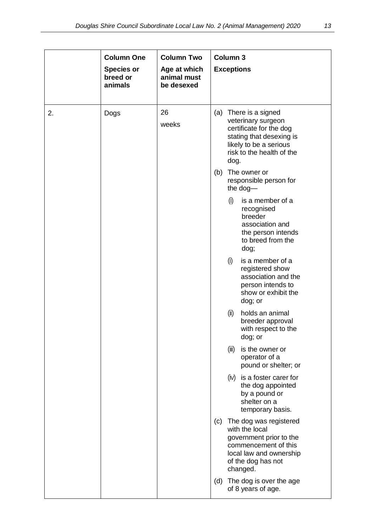|    | <b>Column One</b><br><b>Species or</b><br>breed or<br>animals | <b>Column Two</b><br>Age at which<br>animal must<br>be desexed |     | Column <sub>3</sub><br><b>Exceptions</b>                                                                                                                          |
|----|---------------------------------------------------------------|----------------------------------------------------------------|-----|-------------------------------------------------------------------------------------------------------------------------------------------------------------------|
| 2. | Dogs                                                          | 26<br>weeks                                                    |     | (a) There is a signed<br>veterinary surgeon<br>certificate for the dog<br>stating that desexing is<br>likely to be a serious<br>risk to the health of the<br>dog. |
|    |                                                               |                                                                | (b) | The owner or<br>responsible person for<br>the dog-                                                                                                                |
|    |                                                               |                                                                |     | (i)<br>is a member of a<br>recognised<br>breeder<br>association and<br>the person intends<br>to breed from the<br>dog;                                            |
|    |                                                               |                                                                |     | (i)<br>is a member of a<br>registered show<br>association and the<br>person intends to<br>show or exhibit the<br>dog; or                                          |
|    |                                                               |                                                                |     | (ii)<br>holds an animal<br>breeder approval<br>with respect to the<br>dog; or                                                                                     |
|    |                                                               |                                                                |     | (iii)<br>is the owner or<br>operator of a<br>pound or shelter; or                                                                                                 |
|    |                                                               |                                                                |     | $(iv)$ is a foster carer for<br>the dog appointed<br>by a pound or<br>shelter on a<br>temporary basis.                                                            |
|    |                                                               |                                                                |     | (c) The dog was registered<br>with the local<br>government prior to the<br>commencement of this<br>local law and ownership<br>of the dog has not<br>changed.      |
|    |                                                               |                                                                | (d) | The dog is over the age<br>of 8 years of age.                                                                                                                     |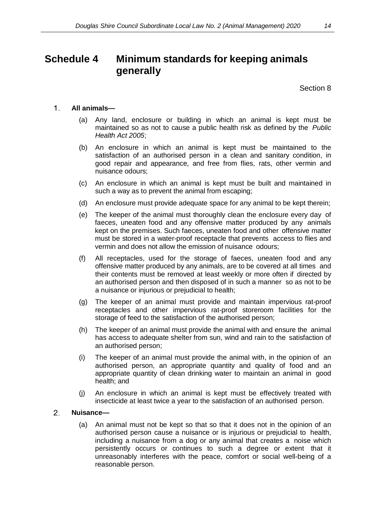### <span id="page-13-0"></span>**Schedule 4 Minimum standards for keeping animals generally**

Section 8

#### $1_{-}$ **All animals—**

- (a) Any land, enclosure or building in which an animal is kept must be maintained so as not to cause a public health risk as defined by the *Public Health Act 2005*;
- (b) An enclosure in which an animal is kept must be maintained to the satisfaction of an authorised person in a clean and sanitary condition, in good repair and appearance, and free from flies, rats, other vermin and nuisance odours;
- (c) An enclosure in which an animal is kept must be built and maintained in such a way as to prevent the animal from escaping;
- (d) An enclosure must provide adequate space for any animal to be kept therein;
- (e) The keeper of the animal must thoroughly clean the enclosure every day of faeces, uneaten food and any offensive matter produced by any animals kept on the premises. Such faeces, uneaten food and other offensive matter must be stored in a water-proof receptacle that prevents access to flies and vermin and does not allow the emission of nuisance odours;
- (f) All receptacles, used for the storage of faeces, uneaten food and any offensive matter produced by any animals, are to be covered at all times and their contents must be removed at least weekly or more often if directed by an authorised person and then disposed of in such a manner so as not to be a nuisance or injurious or prejudicial to health;
- (g) The keeper of an animal must provide and maintain impervious rat-proof receptacles and other impervious rat-proof storeroom facilities for the storage of feed to the satisfaction of the authorised person;
- (h) The keeper of an animal must provide the animal with and ensure the animal has access to adequate shelter from sun, wind and rain to the satisfaction of an authorised person;
- (i) The keeper of an animal must provide the animal with, in the opinion of an authorised person, an appropriate quantity and quality of food and an appropriate quantity of clean drinking water to maintain an animal in good health; and
- (j) An enclosure in which an animal is kept must be effectively treated with insecticide at least twice a year to the satisfaction of an authorised person.

#### $\mathcal{L}$ **Nuisance—**

(a) An animal must not be kept so that so that it does not in the opinion of an authorised person cause a nuisance or is injurious or prejudicial to health, including a nuisance from a dog or any animal that creates a noise which persistently occurs or continues to such a degree or extent that it unreasonably interferes with the peace, comfort or social well-being of a reasonable person.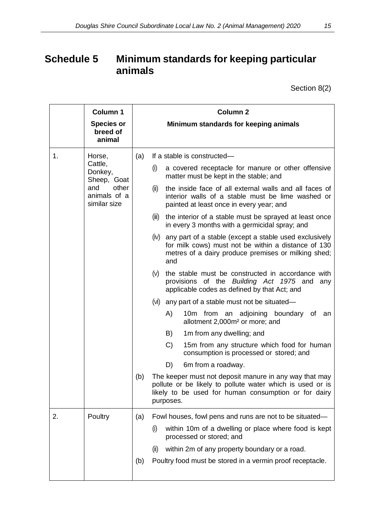## <span id="page-14-0"></span>**Schedule 5 Minimum standards for keeping particular animals**

Section 8(2)

|    | <b>Column 1</b><br><b>Species or</b><br>breed of<br>animal                                  | Column <sub>2</sub><br>Minimum standards for keeping animals                                                                                                                                                                                                                                                                                                                                                                                                                                                                                                                                                                                                                                                                                                                                                                                                                                                                                                                                                                                                                                                                                                                                                                                                                                             |
|----|---------------------------------------------------------------------------------------------|----------------------------------------------------------------------------------------------------------------------------------------------------------------------------------------------------------------------------------------------------------------------------------------------------------------------------------------------------------------------------------------------------------------------------------------------------------------------------------------------------------------------------------------------------------------------------------------------------------------------------------------------------------------------------------------------------------------------------------------------------------------------------------------------------------------------------------------------------------------------------------------------------------------------------------------------------------------------------------------------------------------------------------------------------------------------------------------------------------------------------------------------------------------------------------------------------------------------------------------------------------------------------------------------------------|
| 1. | Horse,<br>Cattle,<br>Donkey,<br>Sheep, Goat<br>other<br>and<br>animals of a<br>similar size | If a stable is constructed-<br>(a)<br>a covered receptacle for manure or other offensive<br>(i)<br>matter must be kept in the stable; and<br>the inside face of all external walls and all faces of<br>(ii)<br>interior walls of a stable must be lime washed or<br>painted at least once in every year; and<br>the interior of a stable must be sprayed at least once<br>(iii)<br>in every 3 months with a germicidal spray; and<br>(iv) any part of a stable (except a stable used exclusively<br>for milk cows) must not be within a distance of 130<br>metres of a dairy produce premises or milking shed;<br>and<br>(V)<br>the stable must be constructed in accordance with<br>provisions of the Building Act 1975 and<br>any<br>applicable codes as defined by that Act; and<br>any part of a stable must not be situated-<br>(VI)<br>10m from an adjoining boundary of<br>A)<br>an<br>allotment 2,000m <sup>2</sup> or more; and<br>1m from any dwelling; and<br>B)<br>$\mathcal{C}$<br>15m from any structure which food for human<br>consumption is processed or stored; and<br>D)<br>6m from a roadway.<br>(b)<br>The keeper must not deposit manure in any way that may<br>pollute or be likely to pollute water which is used or is<br>likely to be used for human consumption or for dairy |
| 2. | Poultry                                                                                     | purposes.<br>Fowl houses, fowl pens and runs are not to be situated—<br>(a)<br>within 10m of a dwelling or place where food is kept<br>(i)<br>processed or stored; and<br>within 2m of any property boundary or a road.<br>(ii)<br>Poultry food must be stored in a vermin proof receptacle.<br>(b)                                                                                                                                                                                                                                                                                                                                                                                                                                                                                                                                                                                                                                                                                                                                                                                                                                                                                                                                                                                                      |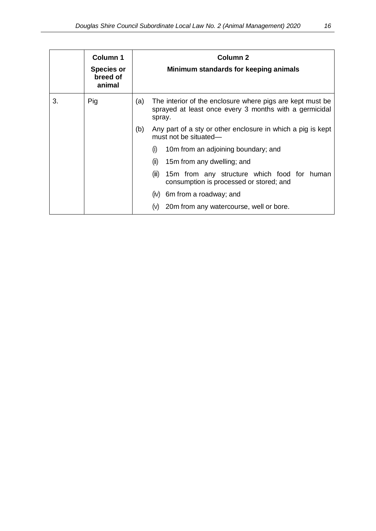|    | Column 1<br><b>Species or</b><br>breed of<br>animal | Column <sub>2</sub><br>Minimum standards for keeping animals                                |                                                                                                                               |  |
|----|-----------------------------------------------------|---------------------------------------------------------------------------------------------|-------------------------------------------------------------------------------------------------------------------------------|--|
| 3. | Pig                                                 | (a)                                                                                         | The interior of the enclosure where pigs are kept must be<br>sprayed at least once every 3 months with a germicidal<br>spray. |  |
|    |                                                     | (b)<br>Any part of a sty or other enclosure in which a pig is kept<br>must not be situated— |                                                                                                                               |  |
|    |                                                     | 10m from an adjoining boundary; and<br>(i)                                                  |                                                                                                                               |  |
|    |                                                     | (ii)<br>15m from any dwelling; and                                                          |                                                                                                                               |  |
|    |                                                     |                                                                                             | 15m from any structure which food for human<br>(iii)<br>consumption is processed or stored; and                               |  |
|    |                                                     |                                                                                             | $(iv)$ 6m from a roadway; and                                                                                                 |  |
|    |                                                     |                                                                                             | 20m from any watercourse, well or bore.<br>(V)                                                                                |  |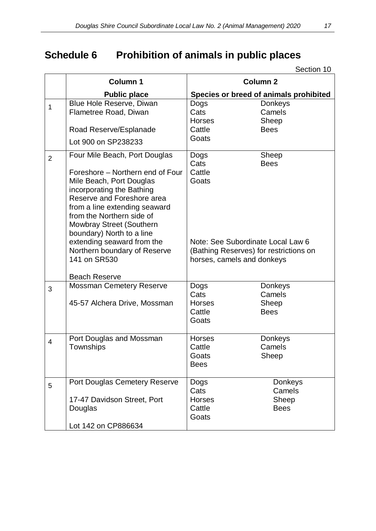# <span id="page-16-0"></span>**Schedule 6 Prohibition of animals in public places**

|                | <b>Column 1</b>                                                                                                                                                                                                                                                                                                                                                                       |                                                                                                                                              | <b>Column 2</b>                                  |
|----------------|---------------------------------------------------------------------------------------------------------------------------------------------------------------------------------------------------------------------------------------------------------------------------------------------------------------------------------------------------------------------------------------|----------------------------------------------------------------------------------------------------------------------------------------------|--------------------------------------------------|
|                | <b>Public place</b>                                                                                                                                                                                                                                                                                                                                                                   |                                                                                                                                              | Species or breed of animals prohibited           |
| 1              | Blue Hole Reserve, Diwan<br>Flametree Road, Diwan<br>Road Reserve/Esplanade                                                                                                                                                                                                                                                                                                           | Dogs<br>Cats<br><b>Horses</b><br>Cattle<br>Goats                                                                                             | <b>Donkeys</b><br>Camels<br>Sheep<br><b>Bees</b> |
|                | Lot 900 on SP238233                                                                                                                                                                                                                                                                                                                                                                   |                                                                                                                                              |                                                  |
| $\overline{2}$ | Four Mile Beach, Port Douglas<br>Foreshore – Northern end of Four<br>Mile Beach, Port Douglas<br>incorporating the Bathing<br>Reserve and Foreshore area<br>from a line extending seaward<br>from the Northern side of<br>Mowbray Street (Southern<br>boundary) North to a line<br>extending seaward from the<br>Northern boundary of Reserve<br>141 on SR530<br><b>Beach Reserve</b> | Dogs<br>Cats<br>Cattle<br>Goats<br>Note: See Subordinate Local Law 6<br>(Bathing Reserves) for restrictions on<br>horses, camels and donkeys | Sheep<br><b>Bees</b>                             |
| 3              | <b>Mossman Cemetery Reserve</b><br>45-57 Alchera Drive, Mossman                                                                                                                                                                                                                                                                                                                       | Dogs<br>Cats<br><b>Horses</b><br>Cattle<br>Goats                                                                                             | <b>Donkeys</b><br>Camels<br>Sheep<br><b>Bees</b> |
| $\overline{4}$ | Port Douglas and Mossman<br>Townships                                                                                                                                                                                                                                                                                                                                                 | <b>Horses</b><br>Cattle<br>Goats<br><b>Bees</b>                                                                                              | <b>Donkeys</b><br>Camels<br>Sheep                |
| 5              | <b>Port Douglas Cemetery Reserve</b><br>17-47 Davidson Street, Port<br>Douglas<br>Lot 142 on CP886634                                                                                                                                                                                                                                                                                 | Dogs<br>Cats<br><b>Horses</b><br>Cattle<br>Goats                                                                                             | Donkeys<br>Camels<br>Sheep<br><b>Bees</b>        |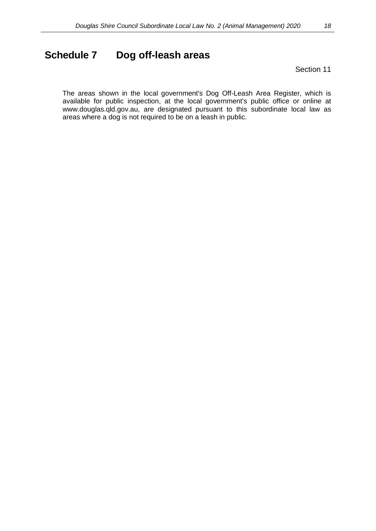### <span id="page-17-0"></span>**Schedule 7 Dog off-leash areas**

Section 11

The areas shown in the local government's Dog Off-Leash Area Register, which is available for public inspection, at the local government's public office or online at www.douglas.qld.gov.au, are designated pursuant to this subordinate local law as areas where a dog is not required to be on a leash in public.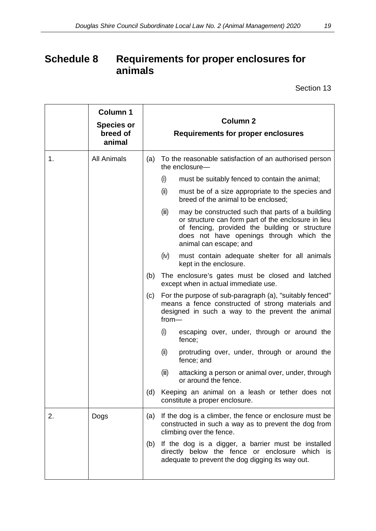## <span id="page-18-0"></span>**Schedule 8 Requirements for proper enclosures for animals**

|    | <b>Column 1</b><br><b>Species or</b><br>breed of<br>animal | <b>Column 2</b><br><b>Requirements for proper enclosures</b>                                                                                                                       |                                                                                                                                                                                                                                          |
|----|------------------------------------------------------------|------------------------------------------------------------------------------------------------------------------------------------------------------------------------------------|------------------------------------------------------------------------------------------------------------------------------------------------------------------------------------------------------------------------------------------|
| 1. | <b>All Animals</b>                                         | (a) To the reasonable satisfaction of an authorised person<br>the enclosure-                                                                                                       |                                                                                                                                                                                                                                          |
|    |                                                            |                                                                                                                                                                                    | (i)<br>must be suitably fenced to contain the animal;                                                                                                                                                                                    |
|    |                                                            |                                                                                                                                                                                    | (ii)<br>must be of a size appropriate to the species and<br>breed of the animal to be enclosed;                                                                                                                                          |
|    |                                                            |                                                                                                                                                                                    | (iii)<br>may be constructed such that parts of a building<br>or structure can form part of the enclosure in lieu<br>of fencing, provided the building or structure<br>does not have openings through which the<br>animal can escape; and |
|    |                                                            |                                                                                                                                                                                    | (iv)<br>must contain adequate shelter for all animals<br>kept in the enclosure.                                                                                                                                                          |
|    |                                                            | (b)                                                                                                                                                                                | The enclosure's gates must be closed and latched<br>except when in actual immediate use.                                                                                                                                                 |
|    |                                                            | For the purpose of sub-paragraph (a), "suitably fenced"<br>(c)<br>means a fence constructed of strong materials and<br>designed in such a way to the prevent the animal<br>$from-$ |                                                                                                                                                                                                                                          |
|    |                                                            |                                                                                                                                                                                    | (i)<br>escaping over, under, through or around the<br>fence;                                                                                                                                                                             |
|    |                                                            |                                                                                                                                                                                    | (ii)<br>protruding over, under, through or around the<br>fence; and                                                                                                                                                                      |
|    |                                                            |                                                                                                                                                                                    | (iii)<br>attacking a person or animal over, under, through<br>or around the fence.                                                                                                                                                       |
|    |                                                            | (d)                                                                                                                                                                                | Keeping an animal on a leash or tether does not<br>constitute a proper enclosure.                                                                                                                                                        |
| 2. | Dogs                                                       | (a)                                                                                                                                                                                | If the dog is a climber, the fence or enclosure must be<br>constructed in such a way as to prevent the dog from<br>climbing over the fence.                                                                                              |
|    |                                                            | (b)                                                                                                                                                                                | If the dog is a digger, a barrier must be installed<br>directly below the fence or enclosure which is<br>adequate to prevent the dog digging its way out.                                                                                |
|    |                                                            |                                                                                                                                                                                    |                                                                                                                                                                                                                                          |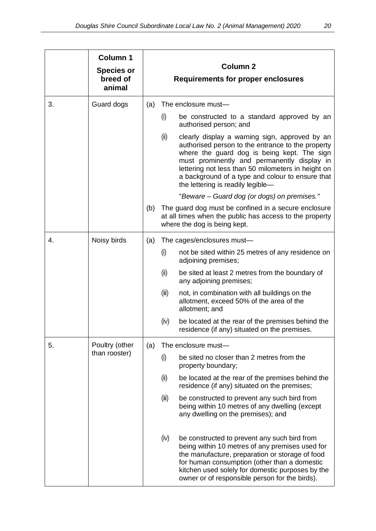|    | <b>Column 1</b>                 |                                                                  |       |                                                                                                                                                                                                                                                                                                                                                  |
|----|---------------------------------|------------------------------------------------------------------|-------|--------------------------------------------------------------------------------------------------------------------------------------------------------------------------------------------------------------------------------------------------------------------------------------------------------------------------------------------------|
|    | <b>Species or</b><br>breed of   | Column <sub>2</sub><br><b>Requirements for proper enclosures</b> |       |                                                                                                                                                                                                                                                                                                                                                  |
|    | animal                          |                                                                  |       |                                                                                                                                                                                                                                                                                                                                                  |
| 3. | Guard dogs                      | (a)                                                              |       | The enclosure must-                                                                                                                                                                                                                                                                                                                              |
|    |                                 |                                                                  | (i)   | be constructed to a standard approved by an<br>authorised person; and                                                                                                                                                                                                                                                                            |
|    |                                 |                                                                  | (ii)  | clearly display a warning sign, approved by an<br>authorised person to the entrance to the property<br>where the guard dog is being kept. The sign<br>must prominently and permanently display in<br>lettering not less than 50 milometers in height on<br>a background of a type and colour to ensure that<br>the lettering is readily legible- |
|    |                                 |                                                                  |       | "Beware – Guard dog (or dogs) on premises."                                                                                                                                                                                                                                                                                                      |
|    |                                 | (b)                                                              |       | The guard dog must be confined in a secure enclosure<br>at all times when the public has access to the property<br>where the dog is being kept.                                                                                                                                                                                                  |
| 4. | Noisy birds                     | (a)                                                              |       | The cages/enclosures must-                                                                                                                                                                                                                                                                                                                       |
|    |                                 |                                                                  | (i)   | not be sited within 25 metres of any residence on<br>adjoining premises;                                                                                                                                                                                                                                                                         |
|    |                                 |                                                                  | (ii)  | be sited at least 2 metres from the boundary of<br>any adjoining premises;                                                                                                                                                                                                                                                                       |
|    |                                 |                                                                  | (iii) | not, in combination with all buildings on the<br>allotment, exceed 50% of the area of the<br>allotment; and                                                                                                                                                                                                                                      |
|    |                                 |                                                                  | (iv)  | be located at the rear of the premises behind the<br>residence (if any) situated on the premises                                                                                                                                                                                                                                                 |
| 5. | Poultry (other<br>than rooster) | (a)                                                              |       | The enclosure must-                                                                                                                                                                                                                                                                                                                              |
|    |                                 |                                                                  | (i)   | be sited no closer than 2 metres from the<br>property boundary;                                                                                                                                                                                                                                                                                  |
|    |                                 |                                                                  | (ii)  | be located at the rear of the premises behind the<br>residence (if any) situated on the premises;                                                                                                                                                                                                                                                |
|    |                                 |                                                                  | (iii) | be constructed to prevent any such bird from<br>being within 10 metres of any dwelling (except<br>any dwelling on the premises); and                                                                                                                                                                                                             |
|    |                                 |                                                                  | (iv)  | be constructed to prevent any such bird from<br>being within 10 metres of any premises used for<br>the manufacture, preparation or storage of food<br>for human consumption (other than a domestic<br>kitchen used solely for domestic purposes by the<br>owner or of responsible person for the birds).                                         |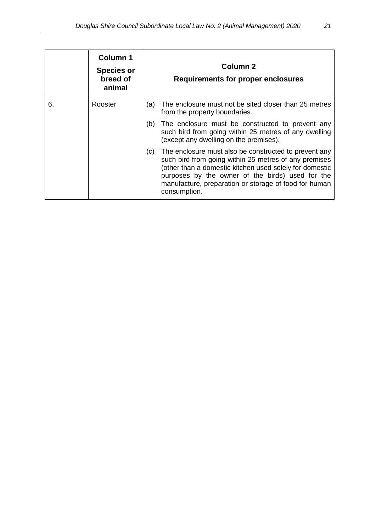|    | <b>Column 1</b><br><b>Species or</b><br>breed of<br>animal | Column <sub>2</sub><br>Requirements for proper enclosures                                                                                                                                                                                                                                                     |
|----|------------------------------------------------------------|---------------------------------------------------------------------------------------------------------------------------------------------------------------------------------------------------------------------------------------------------------------------------------------------------------------|
| 6. | Rooster                                                    | (a) The enclosure must not be sited closer than 25 metres<br>from the property boundaries.                                                                                                                                                                                                                    |
|    |                                                            | The enclosure must be constructed to prevent any<br>(b)<br>such bird from going within 25 metres of any dwelling<br>(except any dwelling on the premises).                                                                                                                                                    |
|    |                                                            | The enclosure must also be constructed to prevent any<br>(c)<br>such bird from going within 25 metres of any premises<br>(other than a domestic kitchen used solely for domestic<br>purposes by the owner of the birds) used for the<br>manufacture, preparation or storage of food for human<br>consumption. |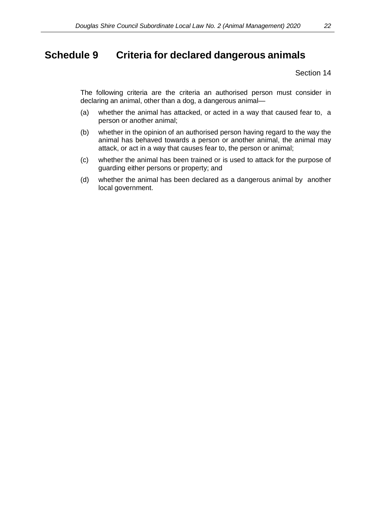### <span id="page-21-0"></span>**Schedule 9 Criteria for declared dangerous animals**

Section 14

The following criteria are the criteria an authorised person must consider in declaring an animal, other than a dog, a dangerous animal—

- (a) whether the animal has attacked, or acted in a way that caused fear to, a person or another animal;
- (b) whether in the opinion of an authorised person having regard to the way the animal has behaved towards a person or another animal, the animal may attack, or act in a way that causes fear to, the person or animal;
- (c) whether the animal has been trained or is used to attack for the purpose of guarding either persons or property; and
- (d) whether the animal has been declared as a dangerous animal by another local government.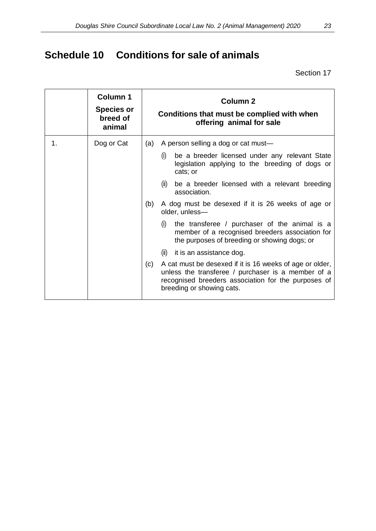# <span id="page-22-0"></span>**Schedule 10 Conditions for sale of animals**

|    | <b>Column 1</b><br><b>Species or</b><br>breed of<br>animal | <b>Column 2</b><br>Conditions that must be complied with when<br>offering animal for sale                                                                                                                 |  |
|----|------------------------------------------------------------|-----------------------------------------------------------------------------------------------------------------------------------------------------------------------------------------------------------|--|
| 1. | Dog or Cat                                                 | A person selling a dog or cat must-<br>(a)                                                                                                                                                                |  |
|    |                                                            | be a breeder licensed under any relevant State<br>(i)<br>legislation applying to the breeding of dogs or<br>cats; or                                                                                      |  |
|    |                                                            | be a breeder licensed with a relevant breeding<br>(ii)<br>association.                                                                                                                                    |  |
|    |                                                            | A dog must be desexed if it is 26 weeks of age or<br>(b)<br>older, unless-                                                                                                                                |  |
|    |                                                            | the transferee / purchaser of the animal is a<br>(i)<br>member of a recognised breeders association for<br>the purposes of breeding or showing dogs; or                                                   |  |
|    |                                                            | (ii)<br>it is an assistance dog.                                                                                                                                                                          |  |
|    |                                                            | A cat must be desexed if it is 16 weeks of age or older,<br>(c)<br>unless the transferee / purchaser is a member of a<br>recognised breeders association for the purposes of<br>breeding or showing cats. |  |